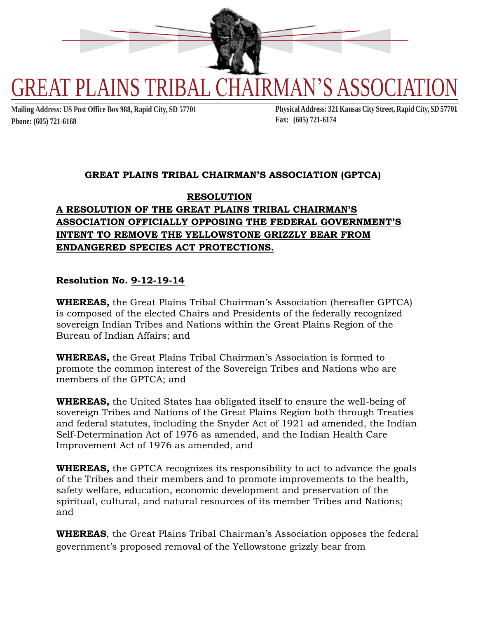

**Phone: (605) 721-6168 Fax: (605) 721-6174**

Mailing Address: US Post Office Box 988, Rapid City, SD 57701 Physical Address: 321 Kansas City Street, Rapid City, SD 57701

### **GREAT PLAINS TRIBAL CHAIRMAN'S ASSOCIATION (GPTCA)**

# **RESOLUTION A RESOLUTION OF THE GREAT PLAINS TRIBAL CHAIRMAN'S ASSOCIATION OFFICIALLY OPPOSING THE FEDERAL GOVERNMENT'S INTENT TO REMOVE THE YELLOWSTONE GRIZZLY BEAR FROM ENDANGERED SPECIES ACT PROTECTIONS.**

### **Resolution No. 9-12-19-14**

**WHEREAS,** the Great Plains Tribal Chairman's Association (hereafter GPTCA) is composed of the elected Chairs and Presidents of the federally recognized sovereign Indian Tribes and Nations within the Great Plains Region of the Bureau of Indian Affairs; and

**WHEREAS,** the Great Plains Tribal Chairman's Association is formed to promote the common interest of the Sovereign Tribes and Nations who are members of the GPTCA; and

**WHEREAS,** the United States has obligated itself to ensure the well-being of sovereign Tribes and Nations of the Great Plains Region both through Treaties and federal statutes, including the Snyder Act of 1921 ad amended, the Indian Self-Determination Act of 1976 as amended, and the Indian Health Care Improvement Act of 1976 as amended, and

**WHEREAS,** the GPTCA recognizes its responsibility to act to advance the goals of the Tribes and their members and to promote improvements to the health, safety welfare, education, economic development and preservation of the spiritual, cultural, and natural resources of its member Tribes and Nations; and

**WHEREAS**, the Great Plains Tribal Chairman's Association opposes the federal government's proposed removal of the Yellowstone grizzly bear from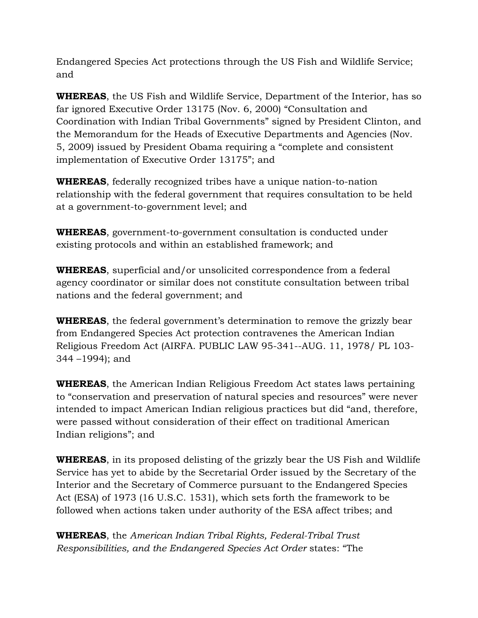Endangered Species Act protections through the US Fish and Wildlife Service; and

**WHEREAS**, the US Fish and Wildlife Service, Department of the Interior, has so far ignored Executive Order 13175 (Nov. 6, 2000) "Consultation and Coordination with Indian Tribal Governments" signed by President Clinton, and the Memorandum for the Heads of Executive Departments and Agencies (Nov. 5, 2009) issued by President Obama requiring a "complete and consistent implementation of Executive Order 13175"; and

**WHEREAS**, federally recognized tribes have a unique nation-to-nation relationship with the federal government that requires consultation to be held at a government-to-government level; and

**WHEREAS**, government-to-government consultation is conducted under existing protocols and within an established framework; and

**WHEREAS**, superficial and/or unsolicited correspondence from a federal agency coordinator or similar does not constitute consultation between tribal nations and the federal government; and

**WHEREAS**, the federal government's determination to remove the grizzly bear from Endangered Species Act protection contravenes the American Indian Religious Freedom Act (AIRFA. PUBLIC LAW 95-341--AUG. 11, 1978/ PL 103- 344 –1994); and

**WHEREAS**, the American Indian Religious Freedom Act states laws pertaining to "conservation and preservation of natural species and resources" were never intended to impact American Indian religious practices but did "and, therefore, were passed without consideration of their effect on traditional American Indian religions"; and

**WHEREAS**, in its proposed delisting of the grizzly bear the US Fish and Wildlife Service has yet to abide by the Secretarial Order issued by the Secretary of the Interior and the Secretary of Commerce pursuant to the Endangered Species Act (ESA) of 1973 (16 U.S.C. 1531), which sets forth the framework to be followed when actions taken under authority of the ESA affect tribes; and

**WHEREAS**, the *American Indian Tribal Rights, Federal-Tribal Trust Responsibilities, and the Endangered Species Act Order* states: "The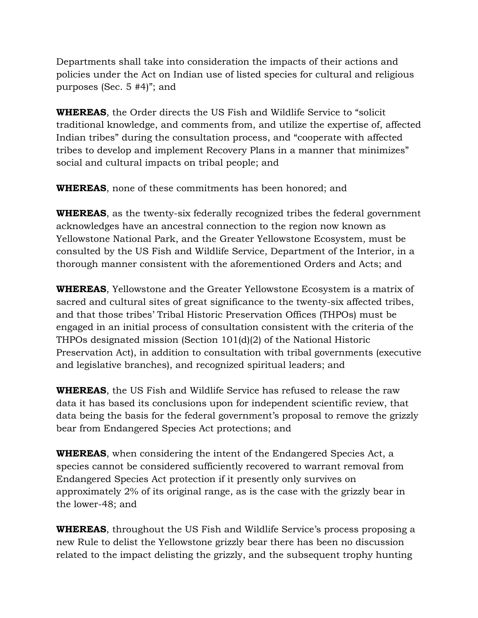Departments shall take into consideration the impacts of their actions and policies under the Act on Indian use of listed species for cultural and religious purposes (Sec. 5 #4)"; and

**WHEREAS**, the Order directs the US Fish and Wildlife Service to "solicit traditional knowledge, and comments from, and utilize the expertise of, affected Indian tribes" during the consultation process, and "cooperate with affected tribes to develop and implement Recovery Plans in a manner that minimizes" social and cultural impacts on tribal people; and

**WHEREAS**, none of these commitments has been honored; and

**WHEREAS**, as the twenty-six federally recognized tribes the federal government acknowledges have an ancestral connection to the region now known as Yellowstone National Park, and the Greater Yellowstone Ecosystem, must be consulted by the US Fish and Wildlife Service, Department of the Interior, in a thorough manner consistent with the aforementioned Orders and Acts; and

**WHEREAS**, Yellowstone and the Greater Yellowstone Ecosystem is a matrix of sacred and cultural sites of great significance to the twenty-six affected tribes, and that those tribes' Tribal Historic Preservation Offices (THPOs) must be engaged in an initial process of consultation consistent with the criteria of the THPOs designated mission (Section 101(d)(2) of the National Historic Preservation Act), in addition to consultation with tribal governments (executive and legislative branches), and recognized spiritual leaders; and

**WHEREAS**, the US Fish and Wildlife Service has refused to release the raw data it has based its conclusions upon for independent scientific review, that data being the basis for the federal government's proposal to remove the grizzly bear from Endangered Species Act protections; and

**WHEREAS**, when considering the intent of the Endangered Species Act, a species cannot be considered sufficiently recovered to warrant removal from Endangered Species Act protection if it presently only survives on approximately 2% of its original range, as is the case with the grizzly bear in the lower-48; and

**WHEREAS**, throughout the US Fish and Wildlife Service's process proposing a new Rule to delist the Yellowstone grizzly bear there has been no discussion related to the impact delisting the grizzly, and the subsequent trophy hunting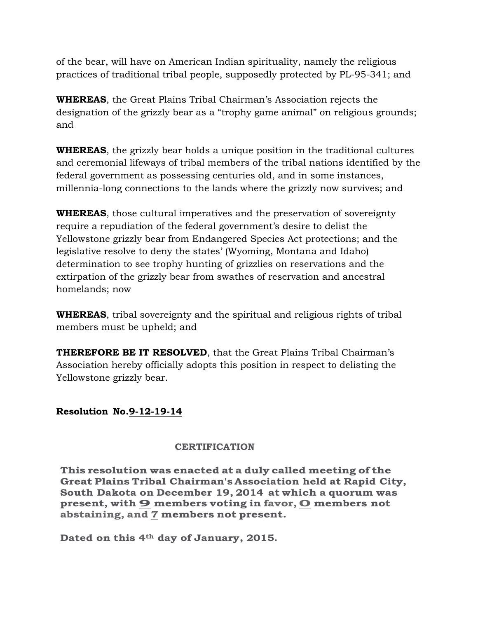of the bear, will have on American Indian spirituality, namely the religious practices of traditional tribal people, supposedly protected by PL-95-341; and

**WHEREAS**, the Great Plains Tribal Chairman's Association rejects the designation of the grizzly bear as a "trophy game animal" on religious grounds; and

**WHEREAS**, the grizzly bear holds a unique position in the traditional cultures and ceremonial lifeways of tribal members of the tribal nations identified by the federal government as possessing centuries old, and in some instances, millennia-long connections to the lands where the grizzly now survives; and

**WHEREAS**, those cultural imperatives and the preservation of sovereignty require a repudiation of the federal government's desire to delist the Yellowstone grizzly bear from Endangered Species Act protections; and the legislative resolve to deny the states' (Wyoming, Montana and Idaho) determination to see trophy hunting of grizzlies on reservations and the extirpation of the grizzly bear from swathes of reservation and ancestral homelands; now

**WHEREAS**, tribal sovereignty and the spiritual and religious rights of tribal members must be upheld; and

**THEREFORE BE IT RESOLVED**, that the Great Plains Tribal Chairman's Association hereby officially adopts this position in respect to delisting the Yellowstone grizzly bear.

# **Resolution No.9-12-19-14**

### **CERTIFICATION**

**This resolution was enacted at a duly called meeting of the Great Plains Tribal Chairman's Association held at Rapid City, South Dakota on December 19, 2014 at which a quorum was present, with 9 members voting in favor,0 members not abstaining, and 7 members not present.**

**Dated on this 4th day of January, 2015.**